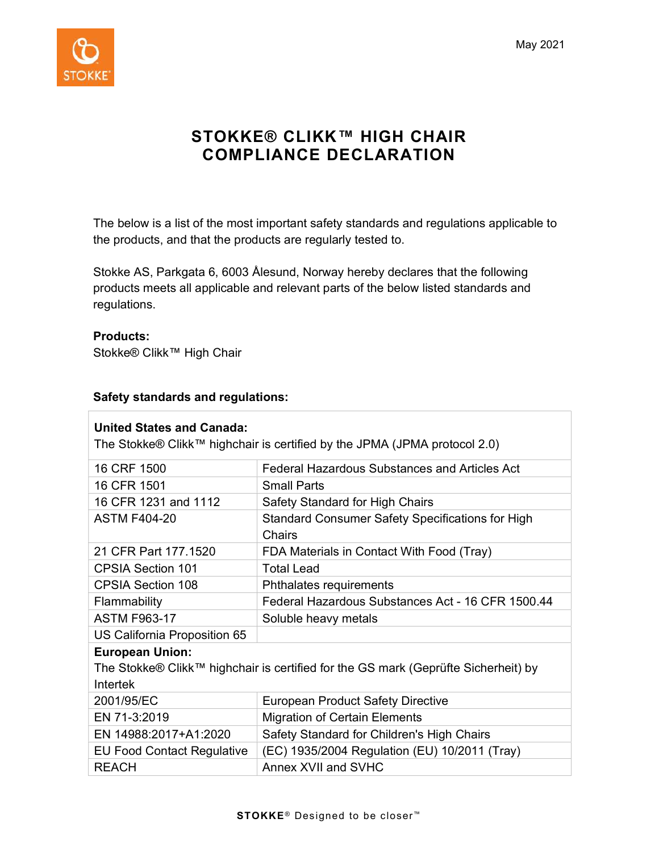

# STOKKE® CLIKK™ HIGH CHAIR COMPLIANCE DECLARATION

The below is a list of the most important safety standards and regulations applicable to the products, and that the products are regularly tested to.

Stokke AS, Parkgata 6, 6003 Ålesund, Norway hereby declares that the following products meets all applicable and relevant parts of the below listed standards and regulations.

### Products:

Stokke® Clikk™ High Chair

### Safety standards and regulations:

| <b>United States and Canada:</b><br>The Stokke® Clikk™ highchair is certified by the JPMA (JPMA protocol 2.0) |                                                                          |  |
|---------------------------------------------------------------------------------------------------------------|--------------------------------------------------------------------------|--|
| 16 CRF 1500                                                                                                   | Federal Hazardous Substances and Articles Act                            |  |
| 16 CFR 1501                                                                                                   | <b>Small Parts</b>                                                       |  |
| 16 CFR 1231 and 1112                                                                                          | Safety Standard for High Chairs                                          |  |
| <b>ASTM F404-20</b>                                                                                           | <b>Standard Consumer Safety Specifications for High</b><br><b>Chairs</b> |  |
| 21 CFR Part 177.1520                                                                                          | FDA Materials in Contact With Food (Tray)                                |  |
| <b>CPSIA Section 101</b>                                                                                      | <b>Total Lead</b>                                                        |  |
| <b>CPSIA Section 108</b>                                                                                      | Phthalates requirements                                                  |  |
| Flammability                                                                                                  | Federal Hazardous Substances Act - 16 CFR 1500.44                        |  |
| <b>ASTM F963-17</b>                                                                                           | Soluble heavy metals                                                     |  |
| US California Proposition 65                                                                                  |                                                                          |  |
| <b>European Union:</b>                                                                                        |                                                                          |  |
| The Stokke® Clikk™ highchair is certified for the GS mark (Geprüfte Sicherheit) by                            |                                                                          |  |
| Intertek                                                                                                      |                                                                          |  |
| 2001/95/EC                                                                                                    | <b>European Product Safety Directive</b>                                 |  |
| EN 71-3:2019                                                                                                  | <b>Migration of Certain Elements</b>                                     |  |
| EN 14988:2017+A1:2020                                                                                         | Safety Standard for Children's High Chairs                               |  |
| <b>EU Food Contact Regulative</b>                                                                             | (EC) 1935/2004 Regulation (EU) 10/2011 (Tray)                            |  |
| <b>REACH</b>                                                                                                  | Annex XVII and SVHC                                                      |  |